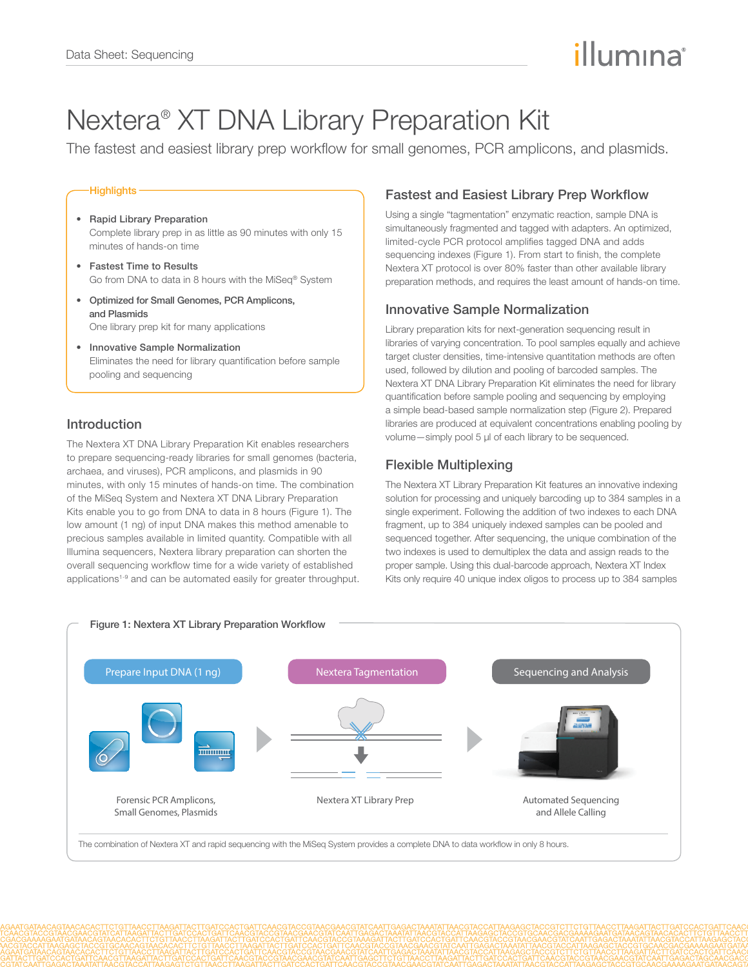# illumına

## Nextera® XT DNA Library Preparation Kit

The fastest and easiest library prep workflow for small genomes, PCR amplicons, and plasmids.

#### **Highlights-**

- Rapid Library Preparation Complete library prep in as little as 90 minutes with only 15 minutes of hands-on time
- Fastest Time to Results Go from DNA to data in 8 hours with the MiSeq® System
- Optimized for Small Genomes, PCR Amplicons, and Plasmids One library prep kit for many applications
- Innovative Sample Normalization Eliminates the need for library quantification before sample pooling and sequencing

#### Introduction

The Nextera XT DNA Library Preparation Kit enables researchers to prepare sequencing-ready libraries for small genomes (bacteria, archaea, and viruses), PCR amplicons, and plasmids in 90 minutes, with only 15 minutes of hands-on time. The combination of the MiSeq System and Nextera XT DNA Library Preparation Kits enable you to go from DNA to data in 8 hours (Figure 1). The low amount (1 ng) of input DNA makes this method amenable to precious samples available in limited quantity. Compatible with all Illumina sequencers, Nextera library preparation can shorten the overall sequencing workflow time for a wide variety of established applications<sup>1-9</sup> and can be automated easily for greater throughput.

### Fastest and Easiest Library Prep Workflow

Using a single "tagmentation" enzymatic reaction, sample DNA is simultaneously fragmented and tagged with adapters. An optimized, limited-cycle PCR protocol amplifies tagged DNA and adds sequencing indexes (Figure 1). From start to finish, the complete Nextera XT protocol is over 80% faster than other available library preparation methods, and requires the least amount of hands-on time.

#### Innovative Sample Normalization

Library preparation kits for next-generation sequencing result in libraries of varying concentration. To pool samples equally and achieve target cluster densities, time-intensive quantitation methods are often used, followed by dilution and pooling of barcoded samples. The Nextera XT DNA Library Preparation Kit eliminates the need for library quantification before sample pooling and sequencing by employing a simple bead-based sample normalization step (Figure 2). Prepared libraries are produced at equivalent concentrations enabling pooling by volume—simply pool 5 μl of each library to be sequenced.

#### Flexible Multiplexing

The Nextera XT Library Preparation Kit features an innovative indexing solution for processing and uniquely barcoding up to 384 samples in a single experiment. Following the addition of two indexes to each DNA fragment, up to 384 uniquely indexed samples can be pooled and sequenced together. After sequencing, the unique combination of the two indexes is used to demultiplex the data and assign reads to the proper sample. Using this dual-barcode approach, Nextera XT Index Kits only require 40 unique index oligos to process up to 384 samples

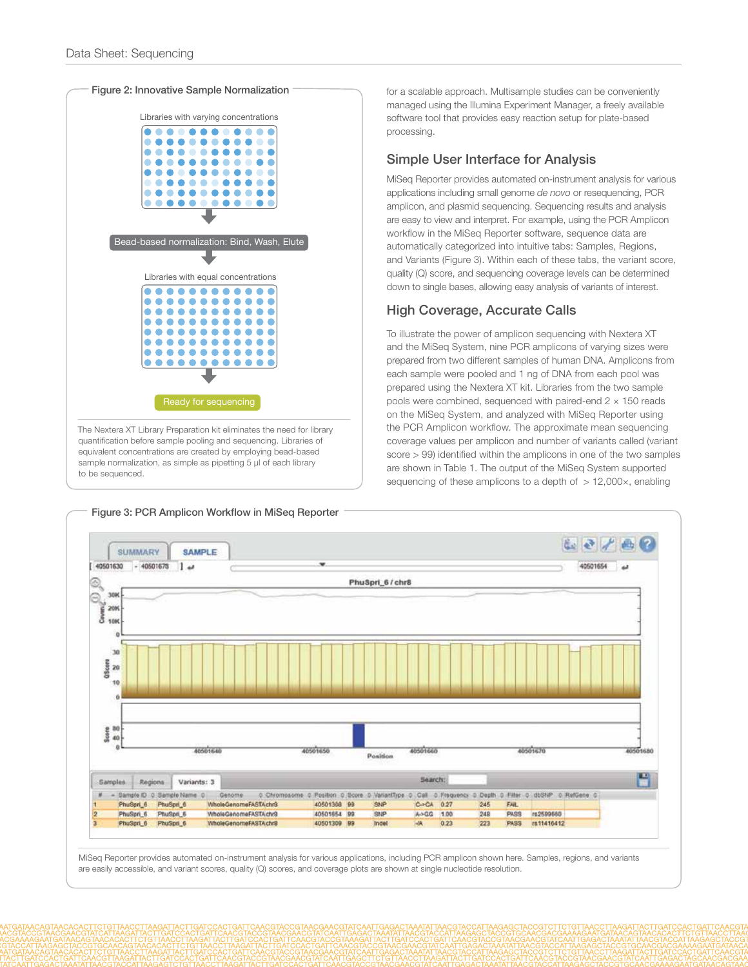

for a scalable approach. Multisample studies can be conveniently managed using the Illumina Experiment Manager, a freely available software tool that provides easy reaction setup for plate-based processing.

#### Simple User Interface for Analysis

MiSeq Reporter provides automated on-instrument analysis for various applications including small genome *de novo* or resequencing, PCR amplicon, and plasmid sequencing. Sequencing results and analysis are easy to view and interpret. For example, using the PCR Amplicon workflow in the MiSeq Reporter software, sequence data are automatically categorized into intuitive tabs: Samples, Regions, and Variants (Figure 3). Within each of these tabs, the variant score, quality (Q) score, and sequencing coverage levels can be determined down to single bases, allowing easy analysis of variants of interest.

## High Coverage, Accurate Calls

To illustrate the power of amplicon sequencing with Nextera XT and the MiSeq System, nine PCR amplicons of varying sizes were prepared from two different samples of human DNA. Amplicons from each sample were pooled and 1 ng of DNA from each pool was prepared using the Nextera XT kit. Libraries from the two sample pools were combined, sequenced with paired-end  $2 \times 150$  reads on the MiSeq System, and analyzed with MiSeq Reporter using the PCR Amplicon workflow. The approximate mean sequencing coverage values per amplicon and number of variants called (variant score > 99) identified within the amplicons in one of the two samples are shown in Table 1. The output of the MiSeq System supported sequencing of these amplicons to a depth of > 12,000x, enabling



MiSeq Reporter provides automated on-instrument analysis for various applications, including PCR amplicon shown here. Samples, regions, and variants are easily accessible, and variant scores, quality (Q) scores, and coverage plots are shown at single nucleotide resolution.

Figure 3: PCR Amplicon Workflow in MiSeq Reporter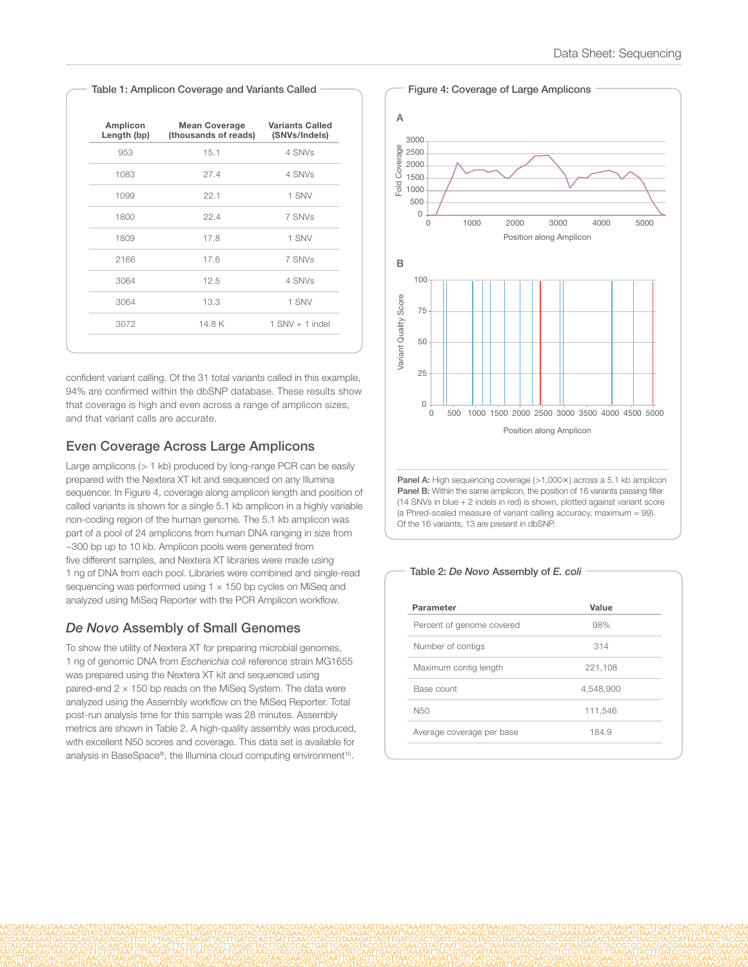| Amplicon<br>Length (bp) | <b>Mean Coverage</b><br>(thousands of reads) | <b>Variants Called</b><br>(SNVs/Indels) |
|-------------------------|----------------------------------------------|-----------------------------------------|
| 953                     | 15.1                                         | 4 SNVs                                  |
| 1083                    | 27.4                                         | 4 SNVs                                  |
| 1099                    | 22.1                                         | 1 SNV                                   |
| 1800                    | 22.4                                         | 7 SNVs                                  |
| 1809                    | 17.8                                         | 1 SNV                                   |
| 2166                    | 17.6                                         | 7 SNVs                                  |
| 3064                    | 12.5                                         | 4 SNVs                                  |
| 3064                    | 13.3                                         | 1 SNV                                   |
| 3072                    | 14.8K                                        | $1$ SNV $+$ 1 indel                     |

confident variant calling. Of the 31 total variants called in this example, 94% are confirmed within the dbSNP database. These results show that coverage is high and even across a range of amplicon sizes, and that variant calls are accurate.

## Even Coverage Across Large Amplicons

Large amplicons (> 1 kb) produced by long-range PCR can be easily prepared with the Nextera XT kit and sequenced on any Illumina sequencer. In Figure 4, coverage along amplicon length and position of called variants is shown for a single 5.1 kb amplicon in a highly variable non-coding region of the human genome. The 5.1 kb amplicon was part of a pool of 24 amplicons from human DNA ranging in size from ~300 bp up to 10 kb. Amplicon pools were generated from five different samples, and Nextera XT libraries were made using 1 ng of DNA from each pool. Libraries were combined and single-read sequencing was performed using 1  $\times$  150 bp cycles on MiSeq and analyzed using MiSeq Reporter with the PCR Amplicon workflow.

## *De Novo* Assembly of Small Genomes

To show the utility of Nextera XT for preparing microbial genomes, 1 ng of genomic DNA from *Escherichia coli* reference strain MG1655 was prepared using the Nextera XT kit and sequenced using paired-end  $2 \times 150$  bp reads on the MiSeq System. The data were analyzed using the Assembly workflow on the MiSeq Reporter. Total post-run analysis time for this sample was 28 minutes. Assembly metrics are shown in Table 2. A high-quality assembly was produced, with excellent N50 scores and coverage. This data set is available for analysis in BaseSpace®, the Illumina cloud computing environment<sup>10</sup>.





| Parameter                 | Value     |
|---------------------------|-----------|
| Percent of genome covered | 98%       |
| Number of contigs         | 314       |
| Maximum contig length     | 221,108   |
| Base count                | 4,548,900 |
| N <sub>50</sub>           | 111,546   |
| Average coverage per base | 184.9     |

Figure 4: Coverage of Large Amplicons